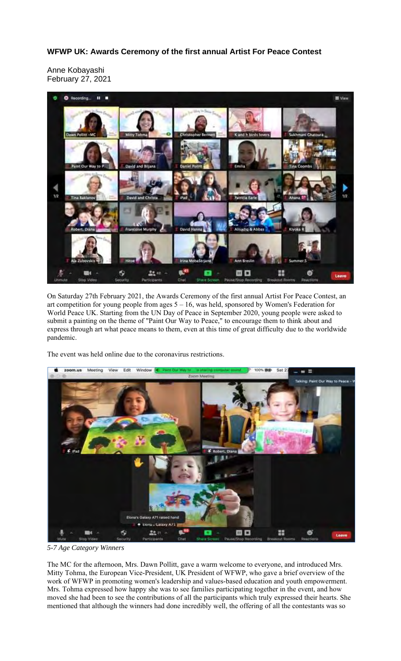## **WFWP UK: Awards Ceremony of the first annual Artist For Peace Contest**

Anne Kobayashi February 27, 2021



On Saturday 27th February 2021, the Awards Ceremony of the first annual Artist For Peace Contest, an art competition for young people from ages 5 – 16, was held, sponsored by Women's Federation for World Peace UK. Starting from the UN Day of Peace in September 2020, young people were asked to submit a painting on the theme of "Paint Our Way to Peace," to encourage them to think about and express through art what peace means to them, even at this time of great difficulty due to the worldwide pandemic.

The event was held online due to the coronavirus restrictions.



*5-7 Age Category Winners*

The MC for the afternoon, Mrs. Dawn Pollitt, gave a warm welcome to everyone, and introduced Mrs. Mitty Tohma, the European Vice-President, UK President of WFWP, who gave a brief overview of the work of WFWP in promoting women's leadership and values-based education and youth empowerment. Mrs. Tohma expressed how happy she was to see families participating together in the event, and how moved she had been to see the contributions of all the participants which truly expressed their hearts. She mentioned that although the winners had done incredibly well, the offering of all the contestants was so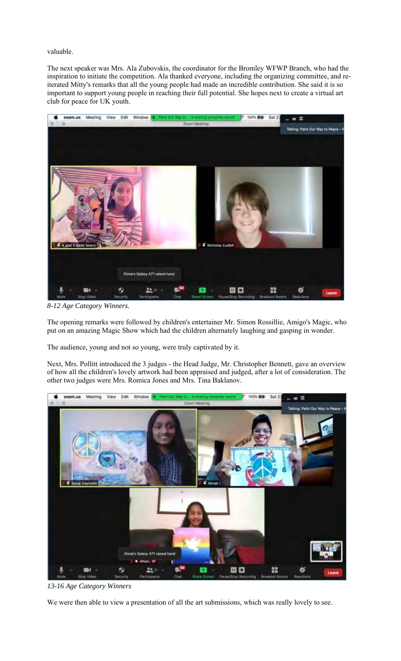valuable.

The next speaker was Mrs. Ala Zubovskis, the coordinator for the Bromley WFWP Branch, who had the inspiration to initiate the competition. Ala thanked everyone, including the organizing committee, and reiterated Mitty's remarks that all the young people had made an incredible contribution. She said it is so important to support young people in reaching their full potential. She hopes next to create a virtual art club for peace for UK youth.



*8-12 Age Category Winners.*

The opening remarks were followed by children's entertainer Mr. Simon Rossillie, Amigo's Magic, who put on an amazing Magic Show which had the children alternately laughing and gasping in wonder.

The audience, young and not so young, were truly captivated by it.

Next, Mrs. Pollitt introduced the 3 judges - the Head Judge, Mr. Christopher Bennett, gave an overview of how all the children's lovely artwork had been appraised and judged, after a lot of consideration. The other two judges were Mrs. Romica Jones and Mrs. Tina Baklanov.



*13-16 Age Category Winners*

We were then able to view a presentation of all the art submissions, which was really lovely to see.